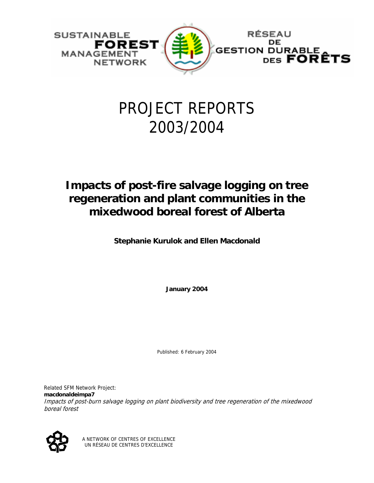

# PROJECT REPORTS 2003/2004

# **Impacts of post-fire salvage logging on tree regeneration and plant communities in the mixedwood boreal forest of Alberta**

**Stephanie Kurulok and Ellen Macdonald** 

**January 2004** 

Published: 6 February 2004

Related SFM Network Project: **macdonaldeimpa7** Impacts of post-burn salvage logging on plant biodiversity and tree regeneration of the mixedwood boreal forest



A NETWORK OF CENTRES OF EXCELLENCE UN RÉSEAU DE CENTRES D'EXCELLENCE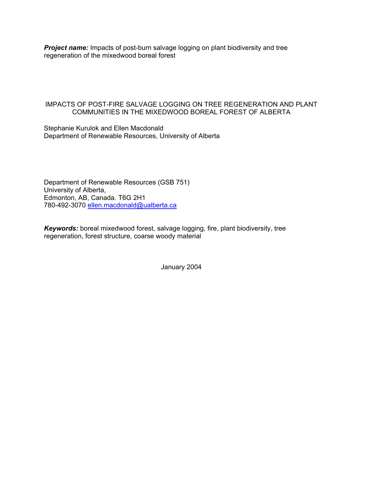**Project name:** Impacts of post-burn salvage logging on plant biodiversity and tree regeneration of the mixedwood boreal forest

# IMPACTS OF POST-FIRE SALVAGE LOGGING ON TREE REGENERATION AND PLANT COMMUNITIES IN THE MIXEDWOOD BOREAL FOREST OF ALBERTA

Stephanie Kurulok and Ellen Macdonald Department of Renewable Resources, University of Alberta

Department of Renewable Resources (GSB 751) University of Alberta, Edmonton, AB, Canada. T6G 2H1 780-492-3070 ellen.macdonald@ualberta.ca

*Keywords:* boreal mixedwood forest, salvage logging, fire, plant biodiversity, tree regeneration, forest structure, coarse woody material

January 2004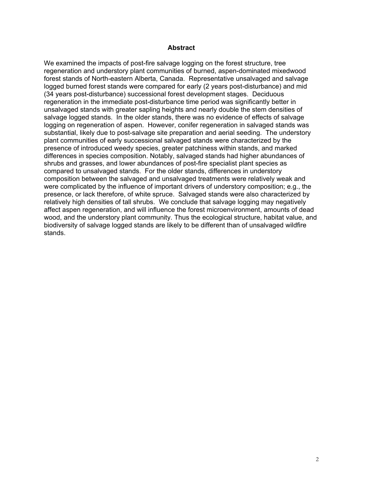#### **Abstract**

We examined the impacts of post-fire salvage logging on the forest structure, tree regeneration and understory plant communities of burned, aspen-dominated mixedwood forest stands of North-eastern Alberta, Canada. Representative unsalvaged and salvage logged burned forest stands were compared for early (2 years post-disturbance) and mid (34 years post-disturbance) successional forest development stages. Deciduous regeneration in the immediate post-disturbance time period was significantly better in unsalvaged stands with greater sapling heights and nearly double the stem densities of salvage logged stands. In the older stands, there was no evidence of effects of salvage logging on regeneration of aspen. However, conifer regeneration in salvaged stands was substantial, likely due to post-salvage site preparation and aerial seeding. The understory plant communities of early successional salvaged stands were characterized by the presence of introduced weedy species, greater patchiness within stands, and marked differences in species composition. Notably, salvaged stands had higher abundances of shrubs and grasses, and lower abundances of post-fire specialist plant species as compared to unsalvaged stands. For the older stands, differences in understory composition between the salvaged and unsalvaged treatments were relatively weak and were complicated by the influence of important drivers of understory composition; e.g., the presence, or lack therefore, of white spruce. Salvaged stands were also characterized by relatively high densities of tall shrubs. We conclude that salvage logging may negatively affect aspen regeneration, and will influence the forest microenvironment, amounts of dead wood, and the understory plant community. Thus the ecological structure, habitat value, and biodiversity of salvage logged stands are likely to be different than of unsalvaged wildfire stands.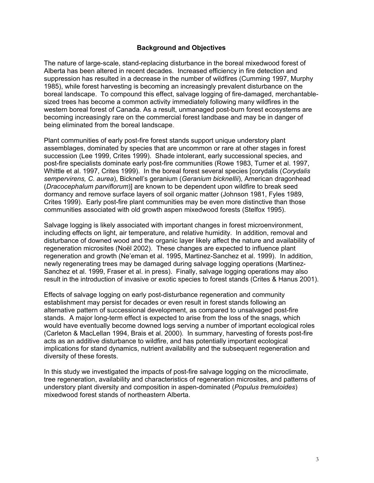#### **Background and Objectives**

The nature of large-scale, stand-replacing disturbance in the boreal mixedwood forest of Alberta has been altered in recent decades. Increased efficiency in fire detection and suppression has resulted in a decrease in the number of wildfires (Cumming 1997, Murphy 1985), while forest harvesting is becoming an increasingly prevalent disturbance on the boreal landscape. To compound this effect, salvage logging of fire-damaged, merchantablesized trees has become a common activity immediately following many wildfires in the western boreal forest of Canada. As a result, unmanaged post-burn forest ecosystems are becoming increasingly rare on the commercial forest landbase and may be in danger of being eliminated from the boreal landscape.

Plant communities of early post-fire forest stands support unique understory plant assemblages, dominated by species that are uncommon or rare at other stages in forest succession (Lee 1999, Crites 1999). Shade intolerant, early successional species, and post-fire specialists dominate early post-fire communities (Rowe 1983, Turner et al. 1997, Whittle et al. 1997, Crites 1999). In the boreal forest several species [corydalis (*Corydalis sempervirens, C. aurea*), Bicknell's geranium (*Geranium bicknellii*), American dragonhead (*Dracocephalum parviflorum*)] are known to be dependent upon wildfire to break seed dormancy and remove surface layers of soil organic matter (Johnson 1981, Fyles 1989, Crites 1999). Early post-fire plant communities may be even more distinctive than those communities associated with old growth aspen mixedwood forests (Stelfox 1995).

Salvage logging is likely associated with important changes in forest microenvironment, including effects on light, air temperature, and relative humidity. In addition, removal and disturbance of downed wood and the organic layer likely affect the nature and availability of regeneration microsites (Noël 2002). These changes are expected to influence plant regeneration and growth (Ne'eman et al. 1995, Martinez-Sanchez et al. 1999). In addition, newly regenerating trees may be damaged during salvage logging operations (Martinez-Sanchez et al. 1999, Fraser et al. in press). Finally, salvage logging operations may also result in the introduction of invasive or exotic species to forest stands (Crites & Hanus 2001).

Effects of salvage logging on early post-disturbance regeneration and community establishment may persist for decades or even result in forest stands following an alternative pattern of successional development, as compared to unsalvaged post-fire stands. A major long-term effect is expected to arise from the loss of the snags, which would have eventually become downed logs serving a number of important ecological roles (Carleton & MacLellan 1994, Brais et al. 2000). In summary, harvesting of forests post-fire acts as an additive disturbance to wildfire, and has potentially important ecological implications for stand dynamics, nutrient availability and the subsequent regeneration and diversity of these forests.

In this study we investigated the impacts of post-fire salvage logging on the microclimate, tree regeneration, availability and characteristics of regeneration microsites, and patterns of understory plant diversity and composition in aspen-dominated (*Populus tremuloides*) mixedwood forest stands of northeastern Alberta.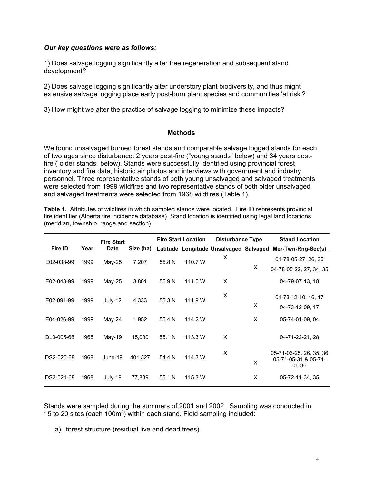# *Our key questions were as follows:*

1) Does salvage logging significantly alter tree regeneration and subsequent stand development?

2) Does salvage logging significantly alter understory plant biodiversity, and thus might extensive salvage logging place early post-burn plant species and communities 'at risk'?

3) How might we alter the practice of salvage logging to minimize these impacts?

# **Methods**

We found unsalvaged burned forest stands and comparable salvage logged stands for each of two ages since disturbance: 2 years post-fire ("young stands" below) and 34 years postfire ("older stands" below). Stands were successfully identified using provincial forest inventory and fire data, historic air photos and interviews with government and industry personnel. Three representative stands of both young unsalvaged and salvaged treatments were selected from 1999 wildfires and two representative stands of both older unsalvaged and salvaged treatments were selected from 1968 wildfires (Table 1).

**Table 1.** Attributes of wildfires in which sampled stands were located. Fire ID represents provincial fire identifier (Alberta fire incidence database). Stand location is identified using legal land locations (meridian, township, range and section).

|            |      | <b>Fire Start</b> |           |        | <b>Fire Start Location</b> | <b>Disturbance Type</b>                |   | <b>Stand Location</b>                                    |
|------------|------|-------------------|-----------|--------|----------------------------|----------------------------------------|---|----------------------------------------------------------|
| Fire ID    | Year | <b>Date</b>       | Size (ha) |        |                            | Latitude Longitude Unsalvaged Salvaged |   | Mer-Twn-Rng-Sec(s)                                       |
| E02-038-99 | 1999 | $May-25$          | 7,207     | 55.8 N | 110.7 W                    | X                                      |   | 04-78-05-27, 26, 35                                      |
|            |      |                   |           |        |                            |                                        | X | 04-78-05-22, 27, 34, 35                                  |
| E02-043-99 | 1999 | May-25            | 3,801     | 55.9 N | 111.0 W                    | X                                      |   | 04-79-07-13, 18                                          |
| E02-091-99 | 1999 | July-12           | 4,333     | 55.3 N | 111.9 W                    | X                                      |   | 04-73-12-10, 16, 17                                      |
|            |      |                   |           |        |                            |                                        | X | 04-73-12-09, 17                                          |
| E04-026-99 | 1999 | May-24            | 1,952     | 55.4 N | 114.2 W                    |                                        | X | 05-74-01-09, 04                                          |
| DL3-005-68 | 1968 | $Mav-19$          | 15,030    | 55.1 N | 113.3 W                    | X                                      |   | 04-71-22-21, 28                                          |
| DS2-020-68 | 1968 | June-19           | 401,327   | 54.4 N | 114.3 W                    | X                                      | X | 05-71-06-25, 26, 35, 36<br>05-71-05-31 & 05-71-<br>06-36 |
| DS3-021-68 | 1968 | July-19           | 77,839    | 55.1 N | 115.3 W                    |                                        | X | 05-72-11-34, 35                                          |

Stands were sampled during the summers of 2001 and 2002. Sampling was conducted in 15 to 20 sites (each  $100m^2$ ) within each stand. Field sampling included:

a) forest structure (residual live and dead trees)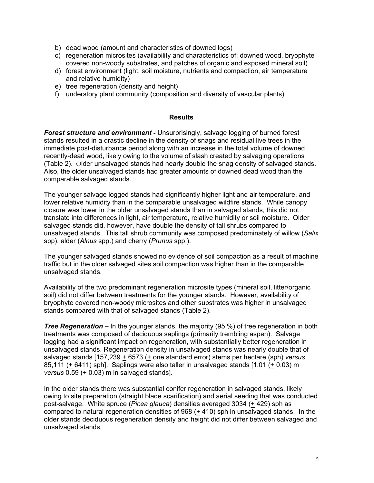- b) dead wood (amount and characteristics of downed logs)
- c) regeneration microsites (availability and characteristics of: downed wood, bryophyte covered non-woody substrates, and patches of organic and exposed mineral soil)
- d) forest environment (light, soil moisture, nutrients and compaction, air temperature and relative humidity)
- e) tree regeneration (density and height)
- f) understory plant community (composition and diversity of vascular plants)

#### **Results**

*Forest structure and environment -* Unsurprisingly, salvage logging of burned forest stands resulted in a drastic decline in the density of snags and residual live trees in the immediate post-disturbance period along with an increase in the total volume of downed recently-dead wood, likely owing to the volume of slash created by salvaging operations (Table 2). Older unsalvaged stands had nearly double the snag density of salvaged stands. Also, the older unsalvaged stands had greater amounts of downed dead wood than the comparable salvaged stands.

The younger salvage logged stands had significantly higher light and air temperature, and lower relative humidity than in the comparable unsalvaged wildfire stands. While canopy closure was lower in the older unsalvaged stands than in salvaged stands, this did not translate into differences in light, air temperature, relative humidity or soil moisture. Older salvaged stands did, however, have double the density of tall shrubs compared to unsalvaged stands. This tall shrub community was composed predominately of willow (*Salix* spp), alder (*Alnus* spp.) and cherry (*Prunus* spp.).

The younger salvaged stands showed no evidence of soil compaction as a result of machine traffic but in the older salvaged sites soil compaction was higher than in the comparable unsalvaged stands.

Availability of the two predominant regeneration microsite types (mineral soil, litter/organic soil) did not differ between treatments for the younger stands. However, availability of bryophyte covered non-woody microsites and other substrates was higher in unsalvaged stands compared with that of salvaged stands (Table 2).

*Tree Regeneration –* In the younger stands, the majority (95 %) of tree regeneration in both treatments was composed of deciduous saplings (primarily trembling aspen). Salvage logging had a significant impact on regeneration, with substantially better regeneration in unsalvaged stands. Regeneration density in unsalvaged stands was nearly double that of salvaged stands [157,239 + 6573 (+ one standard error) stems per hectare (sph) *versus* 85,111 (+ 6411) sph]. Saplings were also taller in unsalvaged stands [1.01 (+ 0.03) m *versus* 0.59 (+ 0.03) m in salvaged stands].

In the older stands there was substantial conifer regeneration in salvaged stands, likely owing to site preparation (straight blade scarification) and aerial seeding that was conducted post-salvage. White spruce (*Picea glauca*) densities averaged 3034 (+ 429) sph as compared to natural regeneration densities of 968 (+ 410) sph in unsalvaged stands. In the older stands deciduous regeneration density and height did not differ between salvaged and unsalvaged stands.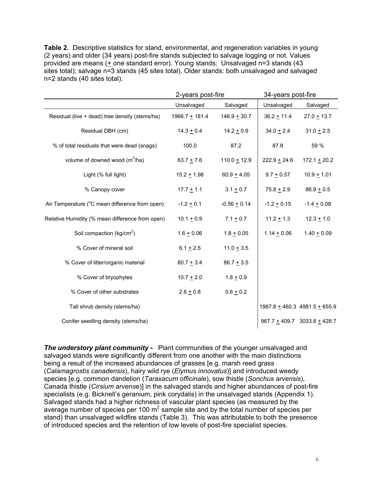**Table 2.** Descriptive statistics for stand, environmental, and regeneration variables in young (2 years) and older (34 years) post-fire stands subjected to salvage logging or not. Values provided are means  $($  + one standard error). Young stands: Unsalvaged n=3 stands  $(43)$ sites total); salvage n=3 stands (45 sites total). Older stands: both unsalvaged and salvaged n=2 stands (40 sites total).

|                                                 | 2-years post-fire |                | 34-years post-fire |                                |
|-------------------------------------------------|-------------------|----------------|--------------------|--------------------------------|
|                                                 | Unsalvaged        | Salvaged       | Unsalvaged         | Salvaged                       |
| Residual (live + dead) tree density (stems/ha)  | $1966.7 + 181.4$  | $146.9 + 30.7$ | $36.2 + 11.4$      | $27.0 + 13.7$                  |
| Residual DBH (cm)                               | $14.3 + 0.4$      | $14.2 + 0.9$   | $34.0 + 2.4$       | $31.0 + 2.5$                   |
| % of total residuals that were dead (snags)     | 100.0             | 87.2           | 87.8               | 59 %                           |
| volume of downed wood $(m^3/ha)$                | $63.7 + 7.6$      | $110.0 + 12.9$ | $222.9 + 24.6$     | $172.1 + 20.2$                 |
| Light (% full light)                            | $15.2 + 1.98$     | $60.9 + 4.05$  | $9.7 + 0.57$       | $10.9 + 1.01$                  |
| % Canopy cover                                  | $17.7 + 1.1$      | $3.1 + 0.7$    | $75.8 + 2.9$       | $86.9 + 0.5$                   |
| Air Temperature (°C mean difference from open)  | $-1.2 + 0.1$      | $-0.56 + 0.14$ | $-1.2 + 0.15$      | $-1.4 + 0.08$                  |
| Relative Humidity (% mean difference from open) | $10.1 + 0.9$      | $7.1 + 0.7$    | $11.2 \pm 1.3$     | $12.3 + 1.0$                   |
| Soil compaction ( $kg/cm2$ )                    | $1.6 + 0.06$      | $1.8 + 0.05$   | $1.14 \pm 0.06$    | $1.40 + 0.09$                  |
| % Cover of mineral soil                         | $6.1 + 2.5$       | $11.0 + 3.5$   |                    |                                |
| % Cover of litter/organic material              | $80.7 + 3.4$      | $86.7 + 3.5$   |                    |                                |
| % Cover of bryophytes                           | $10.7 + 2.0$      | $1.8 + 0.9$    |                    |                                |
| % Cover of other substrates                     | $2.6 + 0.8$       | $0.6 + 0.2$    |                    |                                |
| Tall shrub density (stems/ha)                   |                   |                |                    | 1987.8 ± 460.3 4981.5 ± 655.9  |
| Conifer seedling density (stems/ha)             |                   |                |                    | $967.7 + 409.7$ 3033.8 + 428.7 |

**The understory plant community -** Plant communities of the younger unsalvaged and salvaged stands were significantly different from one another with the main distinctions being a result of the increased abundances of grasses [e.g. marsh reed grass (*Calamagrostis canadensis*), hairy wild rye (*Elymus innovatus*)] and introduced weedy species [e.g. common dandelion (*Taraxacum officinale*), sow thistle (*Sonchus arvensis*), Canada thistle (*Cirsium arvense*)] in the salvaged stands and higher abundances of post-fire specialists (e.g. Bicknell's geranium, pink corydalis) in the unsalvaged stands (Appendix 1). Salvaged stands had a higher richness of vascular plant species (as measured by the average number of species per 100  $m^2$  sample site and by the total number of species per stand) than unsalvaged wildfire stands (Table 3). This was attributable to both the presence of introduced species and the retention of low levels of post-fire specialist species.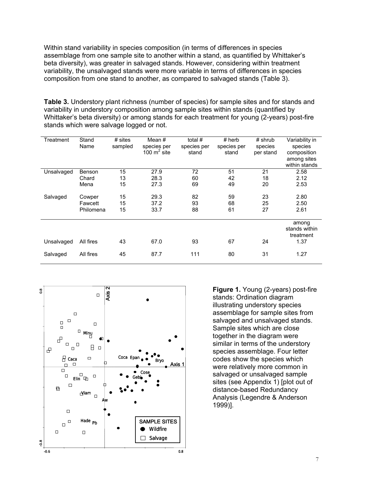Within stand variability in species composition (in terms of differences in species assemblage from one sample site to another within a stand, as quantified by Whittaker's beta diversity), was greater in salvaged stands. However, considering within treatment variability, the unsalvaged stands were more variable in terms of differences in species composition from one stand to another, as compared to salvaged stands (Table 3).

**Table 3.** Understory plant richness (number of species) for sample sites and for stands and variability in understory composition among sample sites within stands (quantified by Whittaker's beta diversity) or among stands for each treatment for young (2-years) post-fire stands which were salvage logged or not.

| Treatment  | Stand<br>Name | # sites<br>sampled | Mean #<br>species per<br>100 $m^2$ site | total #<br>species per<br>stand | $#$ herb<br>species per<br>stand | $#$ shrub<br>species<br>per stand | Variability in<br>species<br>composition<br>among sites<br>within stands |
|------------|---------------|--------------------|-----------------------------------------|---------------------------------|----------------------------------|-----------------------------------|--------------------------------------------------------------------------|
| Unsalvaged | Benson        | 15                 | 27.9                                    | 72                              | 51                               | 21                                | 2.58                                                                     |
|            | Chard         | 13                 | 28.3                                    | 60                              | 42                               | 18                                | 2.12                                                                     |
|            | Mena          | 15                 | 27.3                                    | 69                              | 49                               | 20                                | 2.53                                                                     |
| Salvaged   | Cowper        | 15                 | 29.3                                    | 82                              | 59                               | 23                                | 2.80                                                                     |
|            | Fawcett       | 15                 | 37.2                                    | 93                              | 68                               | 25                                | 2.50                                                                     |
|            | Philomena     | 15                 | 33.7                                    | 88                              | 61                               | 27                                | 2.61                                                                     |
|            |               |                    |                                         |                                 |                                  |                                   | among<br>stands within<br>treatment                                      |
| Unsalvaged | All fires     | 43                 | 67.0                                    | 93                              | 67                               | 24                                | 1.37                                                                     |
| Salvaged   | All fires     | 45                 | 87.7                                    | 111                             | 80                               | 31                                | 1.27                                                                     |



**Figure 1.** Young (2-years) post-fire stands: Ordination diagram illustrating understory species assemblage for sample sites from salvaged and unsalvaged stands. Sample sites which are close together in the diagram were similar in terms of the understory species assemblage. Four letter codes show the species which were relatively more common in salvaged or unsalvaged sample sites (see Appendix 1) [plot out of distance-based Redundancy Analysis (Legendre & Anderson 1999)].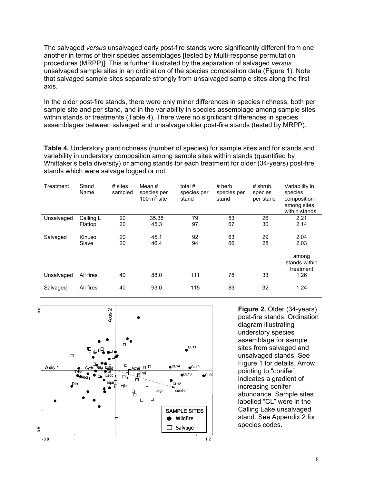The salvaged *versus* unsalvaged early post-fire stands were significantly different from one another in terms of their species assemblages [tested by Multi-response permutation procedures (MRPP)]. This is further illustrated by the separation of salvaged *versus* unsalvaged sample sites in an ordination of the species composition data (Figure 1). Note that salvaged sample sites separate strongly from unsalvaged sample sites along the first axis.

In the older post-fire stands, there were only minor differences in species richness, both per sample site and per stand, and in the variability in species assemblage among sample sites within stands or treatments (Table 4). There were no significant differences in species assemblages between salvaged and unsalvage older post-fire stands (tested by MRPP).

**Table 4.** Understory plant richness (number of species) for sample sites and for stands and variability in understory composition among sample sites within stands (quantified by Whittaker's beta diversity) or among stands for each treatment for older (34-years) post-fire stands which were salvage logged or not.

| Treatment  | Stand<br>Name | $#$ sites<br>sampled | Mean #<br>species per<br>100 $m2$ site | total #<br>species per<br>stand | $#$ herb<br>species per<br>stand | $#$ shrub<br>species<br>per stand | Variability in<br>species<br>composition<br>among sites<br>within stands |
|------------|---------------|----------------------|----------------------------------------|---------------------------------|----------------------------------|-----------------------------------|--------------------------------------------------------------------------|
| Unsalvaged | Calling L     | 20                   | 35.38                                  | 79                              | 53                               | 26                                | 2.21                                                                     |
|            | Flattop       | 20                   | 45.3                                   | 97                              | 67                               | 30                                | 2.14                                                                     |
| Salvaged   | Kinuso        | 20                   | 45.1                                   | 92                              | 63                               | 29                                | 2.04                                                                     |
|            | Slave         | 20                   | 46.4                                   | 94                              | 66                               | 28                                | 2.03                                                                     |
|            |               |                      |                                        |                                 |                                  |                                   | among<br>stands within<br>treatment                                      |
| Unsalvaged | All fires     | 40                   | 88.0                                   | 111                             | 78                               | 33                                | 1.26                                                                     |
| Salvaged   | All fires     | 40                   | 93.0                                   | 115                             | 83                               | 32                                | 1.24                                                                     |



**Figure 2.** Older (34-years) post-fire stands: Ordination diagram illustrating understory species assemblage for sample sites from salvaged and unsalvaged stands. See Figure 1 for details. Arrow pointing to "conifer" indicates a gradient of increasing conifer abundance. Sample sites labelled "CL" were in the Calling Lake unsalvaged stand. See Appendix 2 for species codes.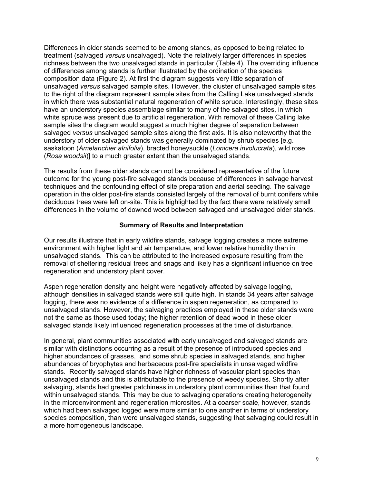Differences in older stands seemed to be among stands, as opposed to being related to treatment (salvaged *versus* unsalvaged). Note the relatively larger differences in species richness between the two unsalvaged stands in particular (Table 4). The overriding influence of differences among stands is further illustrated by the ordination of the species composition data (Figure 2). At first the diagram suggests very little separation of unsalvaged *versus* salvaged sample sites. However, the cluster of unsalvaged sample sites to the right of the diagram represent sample sites from the Calling Lake unsalvaged stands in which there was substantial natural regeneration of white spruce. Interestingly, these sites have an understory species assemblage similar to many of the salvaged sites, in which white spruce was present due to artificial regeneration. With removal of these Calling lake sample sites the diagram would suggest a much higher degree of separation between salvaged *versus* unsalvaged sample sites along the first axis. It is also noteworthy that the understory of older salvaged stands was generally dominated by shrub species [e.g. saskatoon (*Amelanchier alnifolia*), bracted honeysuckle (*Lonicera involucrata*), wild rose (*Rosa woodsii*)] to a much greater extent than the unsalvaged stands.

The results from these older stands can not be considered representative of the future outcome for the young post-fire salvaged stands because of differences in salvage harvest techniques and the confounding effect of site preparation and aerial seeding. The salvage operation in the older post-fire stands consisted largely of the removal of burnt conifers while deciduous trees were left on-site. This is highlighted by the fact there were relatively small differences in the volume of downed wood between salvaged and unsalvaged older stands.

# **Summary of Results and Interpretation**

Our results illustrate that in early wildfire stands, salvage logging creates a more extreme environment with higher light and air temperature, and lower relative humidity than in unsalvaged stands. This can be attributed to the increased exposure resulting from the removal of sheltering residual trees and snags and likely has a significant influence on tree regeneration and understory plant cover.

Aspen regeneration density and height were negatively affected by salvage logging, although densities in salvaged stands were still quite high. In stands 34 years after salvage logging, there was no evidence of a difference in aspen regeneration, as compared to unsalvaged stands. However, the salvaging practices employed in these older stands were not the same as those used today; the higher retention of dead wood in these older salvaged stands likely influenced regeneration processes at the time of disturbance.

In general, plant communities associated with early unsalvaged and salvaged stands are similar with distinctions occurring as a result of the presence of introduced species and higher abundances of grasses, and some shrub species in salvaged stands, and higher abundances of bryophytes and herbaceous post-fire specialists in unsalvaged wildfire stands. Recently salvaged stands have higher richness of vascular plant species than unsalvaged stands and this is attributable to the presence of weedy species. Shortly after salvaging, stands had greater patchiness in understory plant communities than that found within unsalvaged stands. This may be due to salvaging operations creating heterogeneity in the microenvironment and regeneration microsites. At a coarser scale, however, stands which had been salvaged logged were more similar to one another in terms of understory species composition, than were unsalvaged stands, suggesting that salvaging could result in a more homogeneous landscape.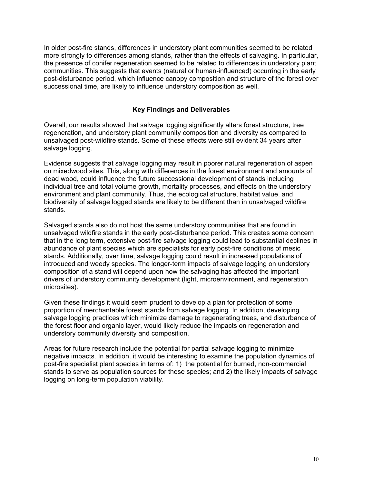In older post-fire stands, differences in understory plant communities seemed to be related more strongly to differences among stands, rather than the effects of salvaging. In particular, the presence of conifer regeneration seemed to be related to differences in understory plant communities. This suggests that events (natural or human-influenced) occurring in the early post-disturbance period, which influence canopy composition and structure of the forest over successional time, are likely to influence understory composition as well.

# **Key Findings and Deliverables**

Overall, our results showed that salvage logging significantly alters forest structure, tree regeneration, and understory plant community composition and diversity as compared to unsalvaged post-wildfire stands. Some of these effects were still evident 34 years after salvage logging.

Evidence suggests that salvage logging may result in poorer natural regeneration of aspen on mixedwood sites. This, along with differences in the forest environment and amounts of dead wood, could influence the future successional development of stands including individual tree and total volume growth, mortality processes, and effects on the understory environment and plant community. Thus, the ecological structure, habitat value, and biodiversity of salvage logged stands are likely to be different than in unsalvaged wildfire stands.

Salvaged stands also do not host the same understory communities that are found in unsalvaged wildfire stands in the early post-disturbance period. This creates some concern that in the long term, extensive post-fire salvage logging could lead to substantial declines in abundance of plant species which are specialists for early post-fire conditions of mesic stands. Additionally, over time, salvage logging could result in increased populations of introduced and weedy species. The longer-term impacts of salvage logging on understory composition of a stand will depend upon how the salvaging has affected the important drivers of understory community development (light, microenvironment, and regeneration microsites).

Given these findings it would seem prudent to develop a plan for protection of some proportion of merchantable forest stands from salvage logging. In addition, developing salvage logging practices which minimize damage to regenerating trees, and disturbance of the forest floor and organic layer, would likely reduce the impacts on regeneration and understory community diversity and composition.

Areas for future research include the potential for partial salvage logging to minimize negative impacts. In addition, it would be interesting to examine the population dynamics of post-fire specialist plant species in terms of: 1) the potential for burned, non-commercial stands to serve as population sources for these species; and 2) the likely impacts of salvage logging on long-term population viability.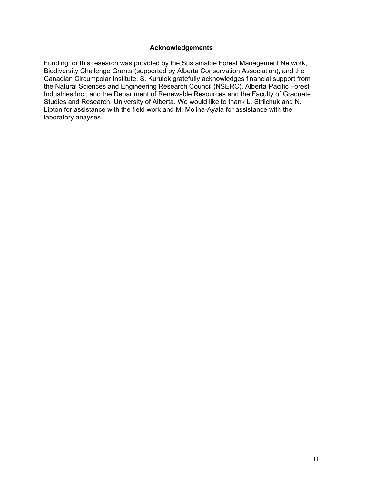# **Acknowledgements**

Funding for this research was provided by the Sustainable Forest Management Network, Biodiversity Challenge Grants (supported by Alberta Conservation Association), and the Canadian Circumpolar Institute. S. Kurulok gratefully acknowledges financial support from the Natural Sciences and Engineering Research Council (NSERC), Alberta-Pacific Forest Industries Inc., and the Department of Renewable Resources and the Faculty of Graduate Studies and Research, University of Alberta. We would like to thank L. Strilchuk and N. Lipton for assistance with the field work and M. Molina-Ayala for assistance with the laboratory anayses.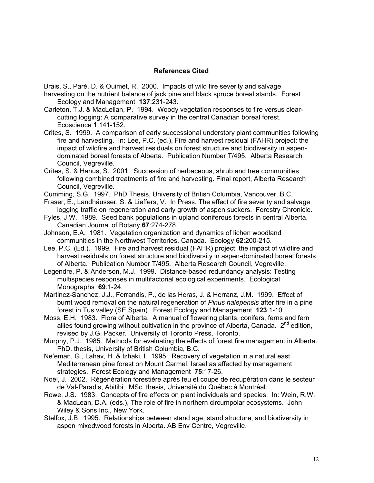# **References Cited**

Brais, S., Paré, D. & Ouimet, R. 2000. Impacts of wild fire severity and salvage harvesting on the nutrient balance of jack pine and black spruce boreal stands. Forest Ecology and Management **137**:231-243.

- Carleton, T.J. & MacLellan, P. 1994. Woody vegetation responses to fire versus clearcutting logging: A comparative survey in the central Canadian boreal forest. Ecoscience **1**:141-152.
- Crites, S. 1999. A comparison of early successional understory plant communities following fire and harvesting. In: Lee, P.C. (ed.), Fire and harvest residual (FAHR) project: the impact of wildfire and harvest residuals on forest structure and biodiversity in aspendominated boreal forests of Alberta. Publication Number T/495. Alberta Research Council, Vegreville.
- Crites, S. & Hanus, S. 2001. Succession of herbaceous, shrub and tree communities following combined treatments of fire and harvesting. Final report, Alberta Research Council, Vegreville.
- Cumming, S.G. 1997. PhD Thesis, University of British Columbia, Vancouver, B.C.
- Fraser, E., Landhäusser, S. & Lieffers, V. In Press. The effect of fire severity and salvage logging traffic on regeneration and early growth of aspen suckers. Forestry Chronicle.
- Fyles, J.W. 1989. Seed bank populations in upland coniferous forests in central Alberta. Canadian Journal of Botany **67**:274-278.
- Johnson, E.A. 1981. Vegetation organization and dynamics of lichen woodland communities in the Northwest Territories, Canada. Ecology **62**:200-215.
- Lee, P.C. (Ed.). 1999. Fire and harvest residual (FAHR) project: the impact of wildfire and harvest residuals on forest structure and biodiversity in aspen-dominated boreal forests of Alberta. Publication Number T/495. Alberta Research Council, Vegreville.
- Legendre, P. & Anderson, M.J. 1999. Distance-based redundancy analysis: Testing multispecies responses in multifactorial ecological experiments. Ecological Monographs **69**:1-24.
- Martinez-Sanchez, J.J., Ferrandis, P., de las Heras, J. & Herranz, J.M. 1999. Effect of burnt wood removal on the natural regeneration of *Pinus halepensis* after fire in a pine forest in Tus valley (SE Spain). Forest Ecology and Management **123**:1-10.
- Moss, E.H. 1983. Flora of Alberta. A manual of flowering plants, conifers, ferns and fern allies found growing without cultivation in the province of Alberta, Canada.  $2^{nd}$  edition, revised by J.G. Packer. University of Toronto Press, Toronto.
- Murphy, P.J. 1985. Methods for evaluating the effects of forest fire management in Alberta. PhD. thesis, University of British Columbia, B.C.
- Ne'eman, G., Lahav, H. & Izhaki, I. 1995. Recovery of vegetation in a natural east Mediterranean pine forest on Mount Carmel, Israel as affected by management strategies. Forest Ecology and Management **75**:17-26.
- Noël, J. 2002. Régénération forestière après feu et coupe de récupération dans le secteur de Val-Paradis, Abitibi. MSc. thesis, Université du Québec à Montréal.
- Rowe, J.S. 1983. Concepts of fire effects on plant individuals and species. In: Wein, R.W. & MacLean, D.A. (eds.), The role of fire in northern circumpolar ecosystems. John Wiley & Sons Inc., New York.
- Stelfox, J.B. 1995. Relationships between stand age, stand structure, and biodiversity in aspen mixedwood forests in Alberta. AB Env Centre, Vegreville.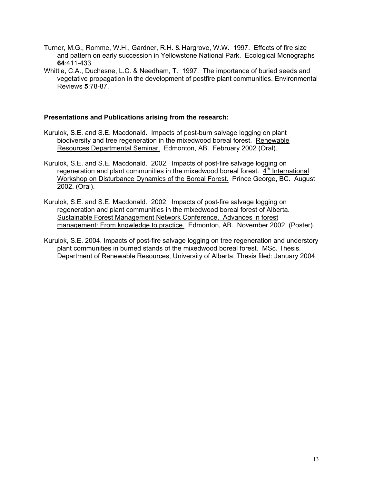- Turner, M.G., Romme, W.H., Gardner, R.H. & Hargrove, W.W. 1997. Effects of fire size and pattern on early succession in Yellowstone National Park. Ecological Monographs **64**:411-433.
- Whittle, C.A., Duchesne, L.C. & Needham, T. 1997. The importance of buried seeds and vegetative propagation in the development of postfire plant communities. Environmental Reviews **5**:78-87.

#### **Presentations and Publications arising from the research:**

- Kurulok, S.E. and S.E. Macdonald. Impacts of post-burn salvage logging on plant biodiversity and tree regeneration in the mixedwood boreal forest. Renewable Resources Departmental Seminar. Edmonton, AB. February 2002 (Oral).
- Kurulok, S.E. and S.E. Macdonald. 2002. Impacts of post-fire salvage logging on regeneration and plant communities in the mixedwood boreal forest.  $4<sup>th</sup>$  International Workshop on Disturbance Dynamics of the Boreal Forest. Prince George, BC. August 2002. (Oral).
- Kurulok, S.E. and S.E. Macdonald. 2002. Impacts of post-fire salvage logging on regeneration and plant communities in the mixedwood boreal forest of Alberta. Sustainable Forest Management Network Conference. Advances in forest management: From knowledge to practice. Edmonton, AB. November 2002. (Poster).
- Kurulok, S.E. 2004. Impacts of post-fire salvage logging on tree regeneration and understory plant communities in burned stands of the mixedwood boreal forest. MSc. Thesis. Department of Renewable Resources, University of Alberta. Thesis filed: January 2004.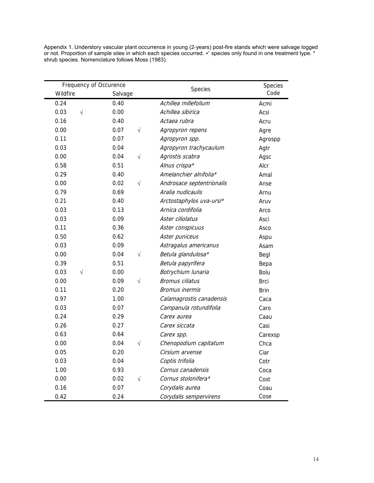| Appendix 1. Understory vascular plant occurrence in young (2-years) post-fire stands which were salvage logged                 |
|--------------------------------------------------------------------------------------------------------------------------------|
| or not. Proportion of sample sites in which each species occurred. $\checkmark$ species only found in one treatment type. $^*$ |
| shrub species. Nomenclature follows Moss (1983).                                                                               |

| Frequency of Occurence |                   |                           | Species     |
|------------------------|-------------------|---------------------------|-------------|
| Wildfire               | Salvage           | Species                   | Code        |
| 0.24                   | 0.40              | Achillea millefolium      | Acmi        |
| 0.03<br>$\sqrt{}$      | 0.00              | Achillea sibirica         | Acsi        |
| 0.16                   | 0.40              | Actaea rubra              | Acru        |
| 0.00                   | 0.07<br>$\sqrt{}$ | Agropyron repens          | Agre        |
| 0.11                   | 0.07              | Agropyron spp.            | Agrospp     |
| 0.03                   | 0.04              | Agropyron trachycaulum    | Agtr        |
| 0.00                   | $\sqrt{}$<br>0.04 | Agrostis scabra           | Agsc        |
| 0.58                   | 0.51              | Alnus crispa*             | Alcr        |
| 0.29                   | 0.40              | Amelanchier alnifolia*    | Amal        |
| 0.00                   | $\sqrt{}$<br>0.02 | Androsace septentrionalis | Anse        |
| 0.79                   | 0.69              | Aralia nudicaulis         | Arnu        |
| 0.21                   | 0.40              | Arctostaphylos uva-ursi*  | Aruv        |
| 0.03                   | 0.13              | Arnica cordifolia         | Arco        |
| 0.03                   | 0.09              | Aster ciliolatus          | Asci        |
| 0.11                   | 0.36              | Aster conspicuus          | Asco        |
| 0.50                   | 0.62              | Aster puniceus            | Aspu        |
| 0.03                   | 0.09              | Astragalus americanus     | Asam        |
| 0.00                   | 0.04<br>$\sqrt{}$ | Betula glandulosa*        | Begl        |
| 0.39                   | 0.51              | Betula papyrifera         | Bepa        |
| 0.03<br>V              | 0.00              | Botrychium lunaria        | Bolu        |
| 0.00                   | $\sqrt{}$<br>0.09 | <b>Bromus ciliatus</b>    | <b>Brci</b> |
| 0.11                   | 0.20              | <b>Bromus inermis</b>     | <b>Brin</b> |
| 0.97                   | 1.00              | Calamagrostis canadensis  | Caca        |
| 0.03                   | 0.07              | Campanula rotundifolia    | Caro        |
| 0.24                   | 0.29              | Carex aurea               | Caau        |
| 0.26                   | 0.27              | Carex siccata             | Casi        |
| 0.63                   | 0.64              | Carex spp.                | Carexsp     |
| 0.00                   | 0.04<br>$\sqrt{}$ | Chenopodium capitatum     | Chca        |
| 0.05                   | 0.20              | Cirsium arvense           | Ciar        |
| 0.03                   | 0.04              | Coptis trifolia           | Cotr        |
| 1.00                   | 0.93              | Cornus canadensis         | Coca        |
| 0.00                   | $\sqrt{}$<br>0.02 | Cornus stolonifera*       | Cost        |
| 0.16                   | 0.07              | Corydalis aurea           | Coau        |
| 0.42                   | 0.24              | Corydalis sempervirens    | Cose        |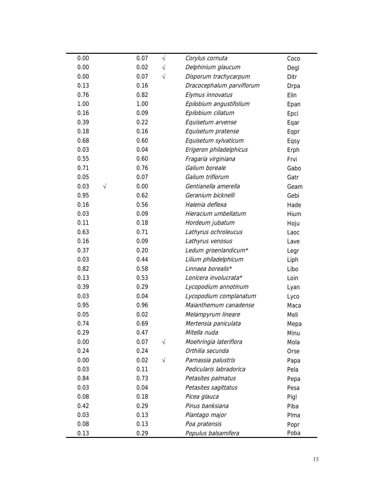| 0.00              | 0.07<br>$\sqrt{}$ | Corylus cornuta           | Coco |
|-------------------|-------------------|---------------------------|------|
| 0.00              | 0.02<br>$\sqrt{}$ | Delphinium glaucum        | Degl |
| 0.00              | $\sqrt{}$<br>0.07 | Disporum trachycarpum     | Ditr |
| 0.13              | 0.16              | Dracocephalum parviflorum | Drpa |
| 0.76              | 0.82              | Elymus innovatus          | Elin |
| 1.00              | 1.00              | Epilobium angustifolium   | Epan |
| 0.16              | 0.09              | Epilobium ciliatum        | Epci |
| 0.39              | 0.22              | Equisetum arvense         | Eqar |
| 0.18              | 0.16              | Equisetum pratense        | Eqpr |
| 0.68              | 0.60              | Equisetum sylvaticum      | Eqsy |
| 0.03              | 0.04              | Erigeron philadelphicus   | Erph |
| 0.55              | 0.60              | Fragaria virginiana       | Frvi |
| 0.71              | 0.76              | Galium boreale            | Gabo |
| 0.05              | 0.07              | Galium triflorum          | Gatr |
| 0.03<br>$\sqrt{}$ | 0.00              | Gentianella amerella      | Geam |
| 0.95              | 0.62              | Geranium bicknelli        | Gebi |
| 0.16              | 0.56              | Halenia deflexa           | Hade |
| 0.03              | 0.09              | Hieracium umbellatum      | Hium |
| 0.11              | 0.18              | Hordeum jubatum           | Hoju |
| 0.63              | 0.71              | Lathyrus ochroleucus      | Laoc |
| 0.16              | 0.09              | Lathyrus venosus          | Lave |
| 0.37              | 0.20              | Ledum groenlandicum*      | Legr |
| 0.03              | 0.44              | Lilium philadelphicum     | Liph |
| 0.82              | 0.58              | Linnaea borealis*         | Libo |
| 0.13              | 0.53              | Lonicera involucrata*     | Loin |
| 0.39              | 0.29              | Lycopodium annotinum      | Lyan |
| 0.03              | 0.04              | Lycopodium complanatum    | Lyco |
| 0.95              | 0.96              | Maianthemum canadense     | Maca |
| 0.05              | 0.02              | Melampyrum lineare        | Meli |
| 0.74              | 0.69              | Mertensia paniculata      | Mepa |
| 0.29              | 0.47              | Mitella nuda              | Minu |
| 0.00              | 0.07<br>$\sqrt{}$ | Moehringia lateriflora    | Mola |
| 0.24              | 0.24              | Orthilia secunda          | Orse |
| 0.00              | 0.02<br>$\sqrt{}$ | Parnassia palustris       | Papa |
| 0.03              | 0.11              | Pedicularis labradorica   | Pela |
| 0.84              | 0.73              | Petasites palmatus        | Pepa |
| 0.03              | 0.04              | Petasites sagittatus      | Pesa |
| 0.08              | 0.18              | Picea glauca              | Pigl |
| 0.42              | 0.29              | Pinus banksiana           | Piba |
| 0.03              | 0.13              | Plantago major            | Plma |
| 0.08              | 0.13              | Poa pratensis             | Popr |
| 0.13              | 0.29              | Populus balsamifera       | Poba |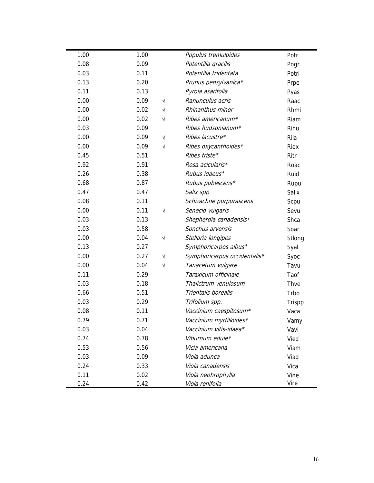| 1.00 | 1.00 |           | Populus tremuloides          | Potr        |
|------|------|-----------|------------------------------|-------------|
| 0.08 | 0.09 |           | Potentilla gracilis          | Pogr        |
| 0.03 | 0.11 |           | Potentilla tridentata        | Potri       |
| 0.13 | 0.20 |           | Prunus pensylvanica*         | Prpe        |
| 0.11 | 0.13 |           | Pyrola asarifolia            | Pyas        |
| 0.00 | 0.09 | $\sqrt{}$ | Ranunculus acris             | Raac        |
| 0.00 | 0.02 | $\sqrt{}$ | Rhinanthus minor             | Rhmi        |
| 0.00 | 0.02 | V         | Ribes americanum*            | Riam        |
| 0.03 | 0.09 |           | Ribes hudsonianum*           | Rihu        |
| 0.00 | 0.09 | $\sqrt{}$ | Ribes lacustre*              | Rila        |
| 0.00 | 0.09 | $\sqrt{}$ | Ribes oxycanthoides*         | <b>Riox</b> |
| 0.45 | 0.51 |           | Ribes triste*                | Ritr        |
| 0.92 | 0.91 |           | Rosa acicularis*             | Roac        |
| 0.26 | 0.38 |           | Rubus idaeus*                | Ruid        |
| 0.68 | 0.87 |           | Rubus pubescens*             | Rupu        |
| 0.47 | 0.47 |           | Salix spp                    | Salix       |
| 0.08 | 0.11 |           | Schizachne purpurascens      | Scpu        |
| 0.00 | 0.11 | $\sqrt{}$ | Senecio vulgaris             | Sevu        |
| 0.03 | 0.13 |           | Shepherdia canadensis*       | Shca        |
| 0.03 | 0.58 |           | Sonchus arvensis             | Soar        |
| 0.00 | 0.04 | $\sqrt{}$ | Stellaria longipes           | Stlong      |
| 0.13 | 0.27 |           | Symphoricarpos albus*        | Syal        |
| 0.00 | 0.27 | $\sqrt{}$ | Symphoricarpos occidentalis* | Syoc        |
| 0.00 | 0.04 | V         | Tanacetum vulgare            | Tavu        |
| 0.11 | 0.29 |           | Taraxicum officinale         | Taof        |
| 0.03 | 0.18 |           | Thalictrum venulosum         | Thve        |
| 0.66 | 0.51 |           | Trientalis borealis          | Trbo        |
| 0.03 | 0.29 |           | Trifolium spp.               | Trispp      |
| 0.08 | 0.11 |           | Vaccinium caespitosum*       | Vaca        |
| 0.79 | 0.71 |           | Vaccinium myrtilloides*      | Vamy        |
| 0.03 | 0.04 |           | Vaccinium vitis-idaea*       | Vavi        |
| 0.74 | 0.78 |           | Viburnum edule*              | Vied        |
| 0.53 | 0.56 |           | Vicia americana              | Viam        |
| 0.03 | 0.09 |           | Viola adunca                 | Viad        |
| 0.24 | 0.33 |           | Viola canadensis             | Vica        |
| 0.11 | 0.02 |           | Viola nephrophylla           | Vine        |
| 0.24 | 0.42 |           | Viola renifolia              | Vire        |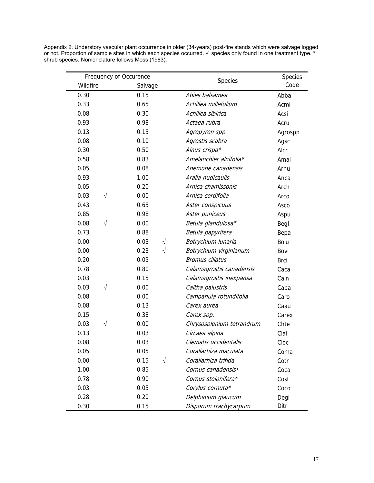| Frequency of Occurence |                   | Species                   | Species     |
|------------------------|-------------------|---------------------------|-------------|
| Wildfire               | Salvage           |                           | Code        |
| 0.30                   | 0.15              | Abies balsamea            | Abba        |
| 0.33                   | 0.65              | Achillea millefolium      | Acmi        |
| 0.08                   | 0.30              | Achillea sibirica         | Acsi        |
| 0.93                   | 0.98              | Actaea rubra              | Acru        |
| 0.13                   | 0.15              | Agropyron spp.            | Agrospp     |
| 0.08                   | 0.10              | Agrostis scabra           | Agsc        |
| 0.30                   | 0.50              | Alnus crispa*             | Alcr        |
| 0.58                   | 0.83              | Amelanchier alnifolia*    | Amal        |
| 0.05                   | 0.08              | Anemone canadensis        | Arnu        |
| 0.93                   | 1.00              | Aralia nudicaulis         | Anca        |
| 0.05                   | 0.20              | Arnica chamissonis        | Arch        |
| 0.03<br>$\sqrt{}$      | 0.00              | Arnica cordifolia         | Arco        |
| 0.43                   | 0.65              | Aster conspicuus          | Asco        |
| 0.85                   | 0.98              | Aster puniceus            | Aspu        |
| 0.08<br>$\sqrt{}$      | 0.00              | Betula glandulosa*        | Begl        |
| 0.73                   | 0.88              | Betula papyrifera         | Bepa        |
| 0.00                   | 0.03<br>$\sqrt{}$ | Botrychium lunaria        | Bolu        |
| 0.00                   | 0.23<br>$\sqrt{}$ | Botrychium virginianum    | Bovi        |
| 0.20                   | 0.05              | <b>Bromus ciliatus</b>    | <b>Brci</b> |
| 0.78                   | 0.80              | Calamagrostis canadensis  | Caca        |
| 0.03                   | 0.15              | Calamagrostis inexpansa   | Cain        |
| 0.03<br>$\sqrt{ }$     | 0.00              | Caltha palustris          | Capa        |
| 0.08                   | 0.00              | Campanula rotundifolia    | Caro        |
| 0.08                   | 0.13              | Carex aurea               | Caau        |
| 0.15                   | 0.38              | Carex spp.                | Carex       |
| 0.03<br>$\sqrt{ }$     | 0.00              | Chrysosplenium tetrandrum | Chte        |
| 0.13                   | 0.03              | Circaea alpina            | Cial        |
| 0.08                   | 0.03              | Clematis occidentalis     | Cloc        |
| 0.05                   | 0.05              | Corallarhiza maculata     | Coma        |
| 0.00                   | 0.15<br>$\sqrt{}$ | Corallarhiza trifida      | Cotr        |
| 1.00                   | 0.85              | Cornus canadensis*        | Coca        |
| 0.78                   | 0.90              | Cornus stolonifera*       | Cost        |
| 0.03                   | 0.05              | Corylus cornuta*          | Coco        |
| 0.28                   | 0.20              | Delphinium glaucum        | Degl        |
| 0.30                   | 0.15              | Disporum trachycarpum     | Ditr        |

Appendix 2. Understory vascular plant occurrence in older (34-years) post-fire stands which were salvage logged or not. Proportion of sample sites in which each species occurred.  $\checkmark$  species only found in one treatment type. \* shrub species. Nomenclature follows Moss (1983).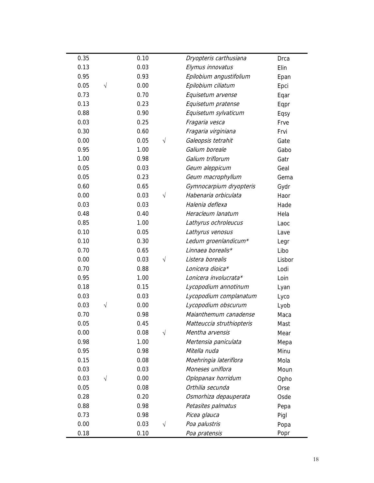| 0.35 |           | 0.10 |           | Dryopteris carthusiana    | Drca   |
|------|-----------|------|-----------|---------------------------|--------|
| 0.13 |           | 0.03 |           | Elymus innovatus          | Elin   |
| 0.95 |           | 0.93 |           | Epilobium angustifolium   | Epan   |
| 0.05 | $\sqrt{}$ | 0.00 |           | Epilobium ciliatum        | Epci   |
| 0.73 |           | 0.70 |           | Equisetum arvense         | Eqar   |
| 0.13 |           | 0.23 |           | Equisetum pratense        | Eqpr   |
| 0.88 |           | 0.90 |           | Equisetum sylvaticum      | Eqsy   |
| 0.03 |           | 0.25 |           | Fragaria vesca            | Frve   |
| 0.30 |           | 0.60 |           | Fragaria virginiana       | Frvi   |
| 0.00 |           | 0.05 | $\sqrt{}$ | Galeopsis tetrahit        | Gate   |
| 0.95 |           | 1.00 |           | Galium boreale            | Gabo   |
| 1.00 |           | 0.98 |           | Galium triflorum          | Gatr   |
| 0.05 |           | 0.03 |           | Geum aleppicum            | Geal   |
| 0.05 |           | 0.23 |           | Geum macrophyllum         | Gema   |
| 0.60 |           | 0.65 |           | Gymnocarpium dryopteris   | Gydr   |
| 0.00 |           | 0.03 | $\sqrt{}$ | Habenaria orbiculata      | Haor   |
| 0.03 |           | 0.03 |           | Halenia deflexa           | Hade   |
| 0.48 |           | 0.40 |           | Heracleum lanatum         | Hela   |
| 0.85 |           | 1.00 |           | Lathyrus ochroleucus      | Laoc   |
| 0.10 |           | 0.05 |           | Lathyrus venosus          | Lave   |
| 0.10 |           | 0.30 |           | Ledum groenlandicum*      | Legr   |
| 0.70 |           | 0.65 |           | Linnaea borealis*         | Libo   |
| 0.00 |           | 0.03 | $\sqrt{}$ | Listera borealis          | Lisbor |
| 0.70 |           | 0.88 |           | Lonicera dioica*          | Lodi   |
| 0.95 |           | 1.00 |           | Lonicera involucrata*     | Loin   |
| 0.18 |           | 0.15 |           | Lycopodium annotinum      | Lyan   |
| 0.03 |           | 0.03 |           | Lycopodium complanatum    | Lyco   |
| 0.03 | $\sqrt{}$ | 0.00 |           | Lycopodium obscurum       | Lyob   |
| 0.70 |           | 0.98 |           | Maianthemum canadense     | Maca   |
| 0.05 |           | 0.45 |           | Matteuccia struthiopteris | Mast   |
| 0.00 |           | 0.08 | $\sqrt{}$ | Mentha arvensis           | Mear   |
| 0.98 |           | 1.00 |           | Mertensia paniculata      | Mepa   |
| 0.95 |           | 0.98 |           | Mitella nuda              | Minu   |
| 0.15 |           | 0.08 |           | Moehringia lateriflora    | Mola   |
| 0.03 |           | 0.03 |           | Moneses uniflora          | Moun   |
| 0.03 | $\sqrt{}$ | 0.00 |           | Oplopanax horridum        | Opho   |
| 0.05 |           | 0.08 |           | Orthilia secunda          | Orse   |
| 0.28 |           | 0.20 |           | Osmorhiza depauperata     | Osde   |
| 0.88 |           | 0.98 |           | Petasites palmatus        | Pepa   |
| 0.73 |           | 0.98 |           | Picea glauca              | Pigl   |
| 0.00 |           | 0.03 | $\sqrt{}$ | Poa palustris             | Popa   |
| 0.18 |           | 0.10 |           | Poa pratensis             | Popr   |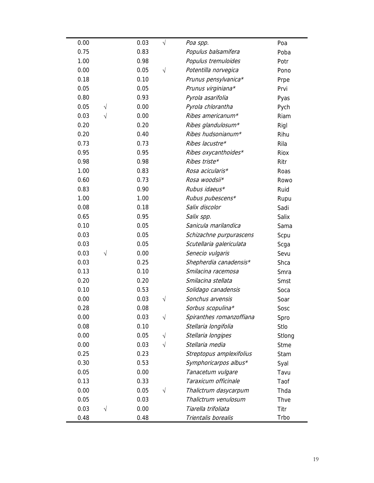| 0.00<br>0.03<br>$\sqrt{}$<br>Poa spp.<br>Poa<br>0.75<br>0.83<br>Populus balsamifera<br>Poba |        |
|---------------------------------------------------------------------------------------------|--------|
|                                                                                             |        |
|                                                                                             |        |
| 1.00<br>0.98<br>Populus tremuloides<br>Potr                                                 |        |
| 0.00<br>0.05<br>Potentilla norvegica<br>$\sqrt{}$<br>Pono                                   |        |
| 0.18<br>0.10<br>Prunus pensylvanica*<br>Prpe                                                |        |
| 0.05<br>0.05<br>Prunus virginiana*<br>Prvi                                                  |        |
| 0.80<br>0.93<br>Pyrola asarifolia<br>Pyas                                                   |        |
| 0.05<br>0.00<br>Pyrola chlorantha<br>Pych<br>$\sqrt{}$                                      |        |
| 0.03<br>$\sqrt{}$<br>0.00<br>Ribes americanum*<br>Riam                                      |        |
| 0.20<br>0.20<br>Ribes glandulosum*<br>Rigl                                                  |        |
| 0.20<br>0.40<br>Ribes hudsonianum*<br>Rihu                                                  |        |
| 0.73<br>0.73<br>Ribes lacustre*<br>Rila                                                     |        |
| 0.95<br>0.95<br>Ribes oxycanthoides*<br>Riox                                                |        |
| 0.98<br>Ribes triste*<br>0.98<br>Ritr                                                       |        |
| 1.00<br>0.83<br>Rosa acicularis*<br>Roas                                                    |        |
| 0.60<br>0.73<br>Rosa woodsii*<br>Rowo                                                       |        |
| Rubus idaeus*<br>0.83<br>0.90<br>Ruid                                                       |        |
| 1.00<br>1.00<br>Rubus pubescens*<br>Rupu                                                    |        |
| 0.08<br>0.18<br>Salix discolor<br>Sadi                                                      |        |
| 0.65<br>0.95<br>Salix spp.<br>Salix                                                         |        |
| 0.10<br>Sanicula marilandica<br>0.05<br>Sama                                                |        |
| 0.03<br>0.05<br>Schizachne purpurascens<br>Scpu                                             |        |
| 0.03<br>0.05<br>Scutellaria galericulata<br>Scga                                            |        |
| 0.03<br>0.00<br>Senecio vulgaris<br>V<br>Sevu                                               |        |
| 0.03<br>0.25<br>Shepherdia canadensis*<br>Shca                                              |        |
| 0.13<br>0.10<br>Smilacina racemosa<br>Smra                                                  |        |
| 0.20<br>0.20<br>Smilacina stellata<br>Smst                                                  |        |
| 0.10<br>0.53<br>Solidago canadensis<br>Soca                                                 |        |
| 0.00<br>0.03<br>Sonchus arvensis<br>Soar<br>V                                               |        |
| 0.28<br>0.08<br>Sorbus scopulina*<br>Sosc                                                   |        |
| 0.03<br>Spiranthes romanzoffiana<br>0.00<br>$\sqrt{}$<br>Spro                               |        |
| 0.08<br>0.10<br>Stellaria longifolia<br>Stlo                                                |        |
| 0.00<br>0.05<br>Stellaria longipes<br>V                                                     | Stlong |
| 0.00<br>Stellaria media<br>0.03<br><b>Stme</b><br>V                                         |        |
| 0.25<br>0.23<br>Streptopus amplexifolius<br>Stam                                            |        |
| 0.30<br>Symphoricarpos albus*<br>0.53<br>Syal                                               |        |
| 0.05<br>0.00<br>Tanacetum vulgare<br>Tavu                                                   |        |
| 0.13<br>Taraxicum officinale<br>0.33<br>Taof                                                |        |
| 0.00<br>0.05<br>Thalictrum dasycarpum<br>Thda<br>V                                          |        |
| 0.05<br>0.03<br>Thalictrum venulosum<br>Thve                                                |        |
| 0.03<br>V<br>0.00<br>Tiarella trifoliata<br>Titr                                            |        |
| Trbo<br>0.48<br>0.48<br>Trientalis borealis                                                 |        |